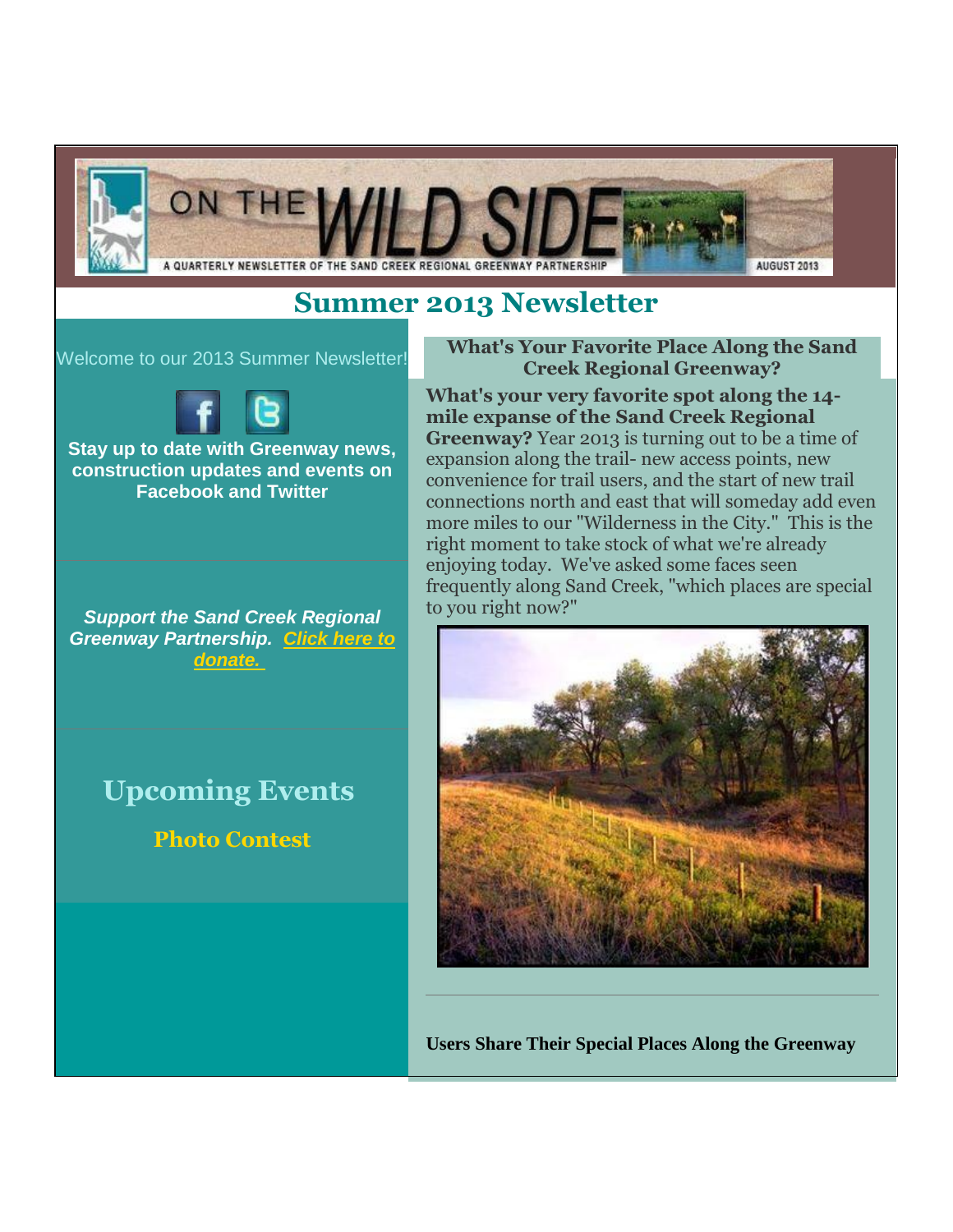

# **Summer 2013 Newsletter**

#### Welcome to our 2013 Summer Newsletter!



**Stay up to date with Greenway news, construction updates and events on Facebook and Twitter**

*Support the Sand Creek Regional Greenway Partnership. [Click here to](http://sandcreekgreenway.org/donate/)  [donate.](http://sandcreekgreenway.org/donate/)*

# **Upcoming Events**

**Photo Contest**

#### **What's Your Favorite Place Along the Sand Creek Regional Greenway?**

**What's your very favorite spot along the 14 mile expanse of the Sand Creek Regional Greenway?** Year 2013 is turning out to be a time of expansion along the trail- new access points, new convenience for trail users, and the start of new trail connections north and east that will someday add even more miles to our "Wilderness in the City." This is the right moment to take stock of what we're already enjoying today. We've asked some faces seen frequently along Sand Creek, "which places are special to you right now?"



**Users Share Their Special Places Along the Greenway**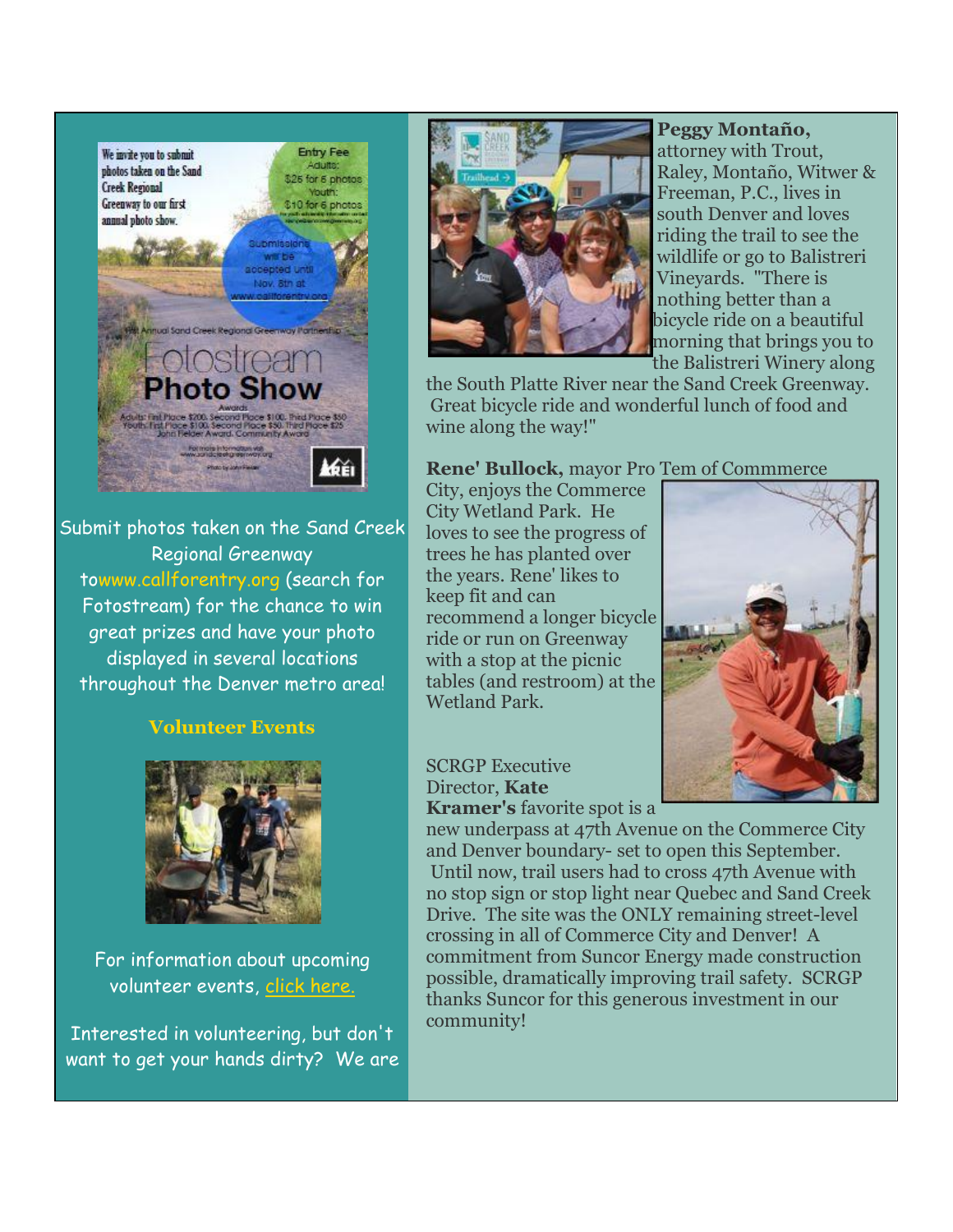

Submit photos taken on the Sand Creek Regional Greenway towww.callforentry.org (search for Fotostream) for the chance to win great prizes and have your photo displayed in several locations throughout the Denver metro area!

## **Volunteer Events**



For information about upcoming volunteer events, [click here.](http://sandcreekgreenway.org/volunteer/upcoming-volunteer-events/)

Interested in volunteering, but don't want to get your hands dirty? We are



**Peggy Montaño,**  attorney with Trout, Raley, Montaño, Witwer & Freeman, P.C., lives in south Denver and loves riding the trail to see the wildlife or go to Balistreri Vineyards. "There is nothing better than a bicycle ride on a beautiful morning that brings you to the Balistreri Winery along

the South Platte River near the Sand Creek Greenway. Great bicycle ride and wonderful lunch of food and wine along the way!"

#### **Rene' Bullock,** mayor Pro Tem of Commmerce

City, enjoys the Commerce City Wetland Park. He loves to see the progress of trees he has planted over the years. Rene' likes to keep fit and can recommend a longer bicycle ride or run on Greenway with a stop at the picnic tables (and restroom) at the Wetland Park.



#### SCRGP Executive Director, **Kate Kramer's** favorite spot is a

new underpass at 47th Avenue on the Commerce City and Denver boundary- set to open this September. Until now, trail users had to cross 47th Avenue with no stop sign or stop light near Quebec and Sand Creek Drive. The site was the ONLY remaining street-level crossing in all of Commerce City and Denver! A commitment from Suncor Energy made construction possible, dramatically improving trail safety. SCRGP thanks Suncor for this generous investment in our community!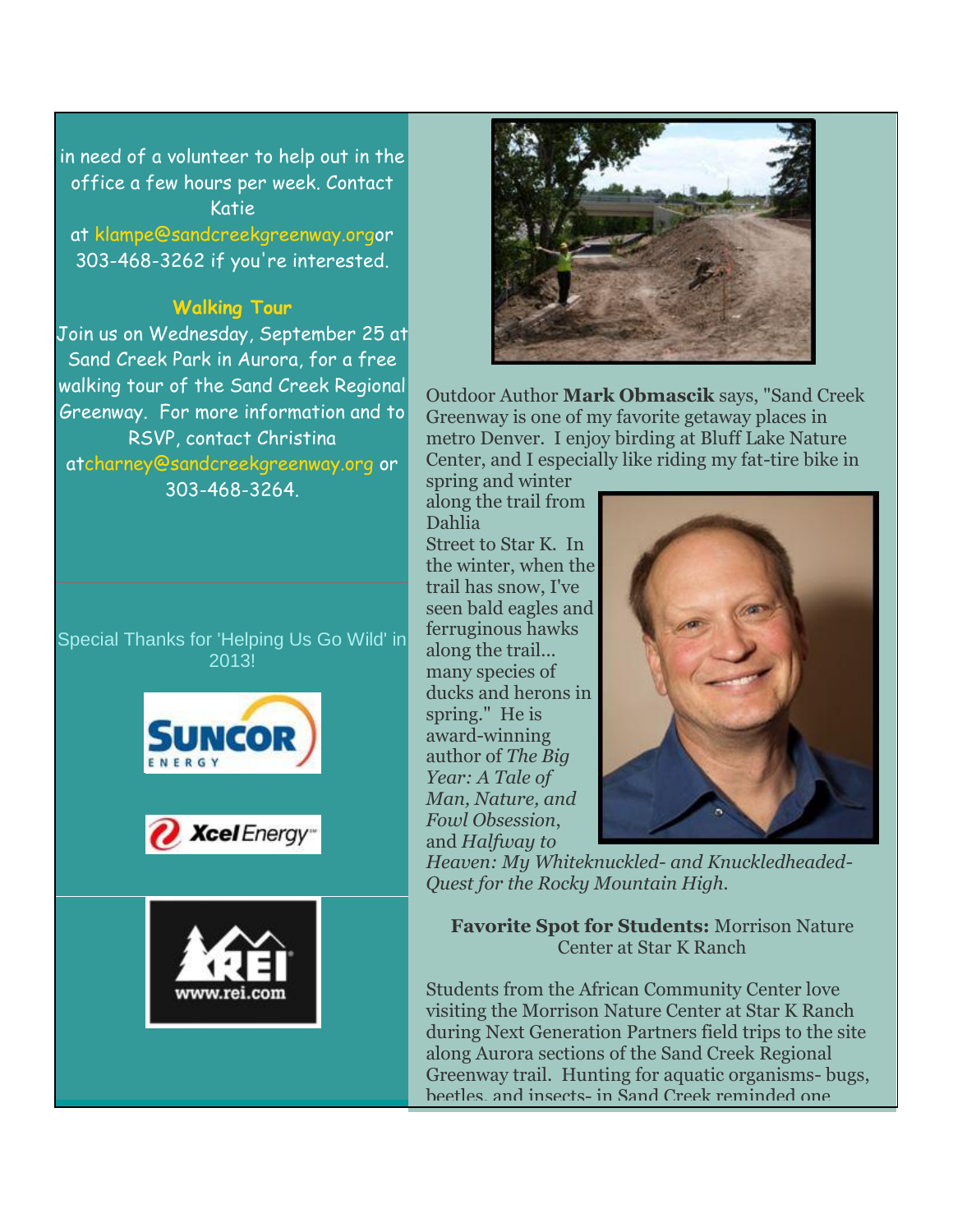in need of a volunteer to help out in the office a few hours per week. Contact Katie

at klampe@sandcreekgreenway.orgor 303-468-3262 if you're interested.

# **Walking Tour**

Join us on Wednesday, September 25 at Sand Creek Park in Aurora, for a free walking tour of the Sand Creek Regional Greenway. For more information and to RSVP, contact Christina atcharney@sandcreekgreenway.org or 303-468-3264.

Special Thanks for 'Helping Us Go Wild' in 2013!









Outdoor Author **Mark Obmascik** says, "Sand Creek Greenway is one of my favorite getaway places in metro Denver. I enjoy birding at Bluff Lake Nature Center, and I especially like riding my fat-tire bike in

spring and winter along the trail from Dahlia Street to Star K. In the winter, when the trail has snow, I've seen bald eagles and ferruginous hawks along the trail... many species of ducks and herons in spring." He is award-winning author of *The Big Year: A Tale of Man, Nature, and Fowl Obsession*, and *Halfway to* 



*Heaven: My Whiteknuckled- and Knuckledheaded-Quest for the Rocky Mountain High.*

**Favorite Spot for Students:** Morrison Nature Center at Star K Ranch

Students from the African Community Center love visiting the Morrison Nature Center at Star K Ranch during Next Generation Partners field trips to the site along Aurora sections of the Sand Creek Regional Greenway trail. Hunting for aquatic organisms- bugs, beetles, and insects- in Sand Creek reminded one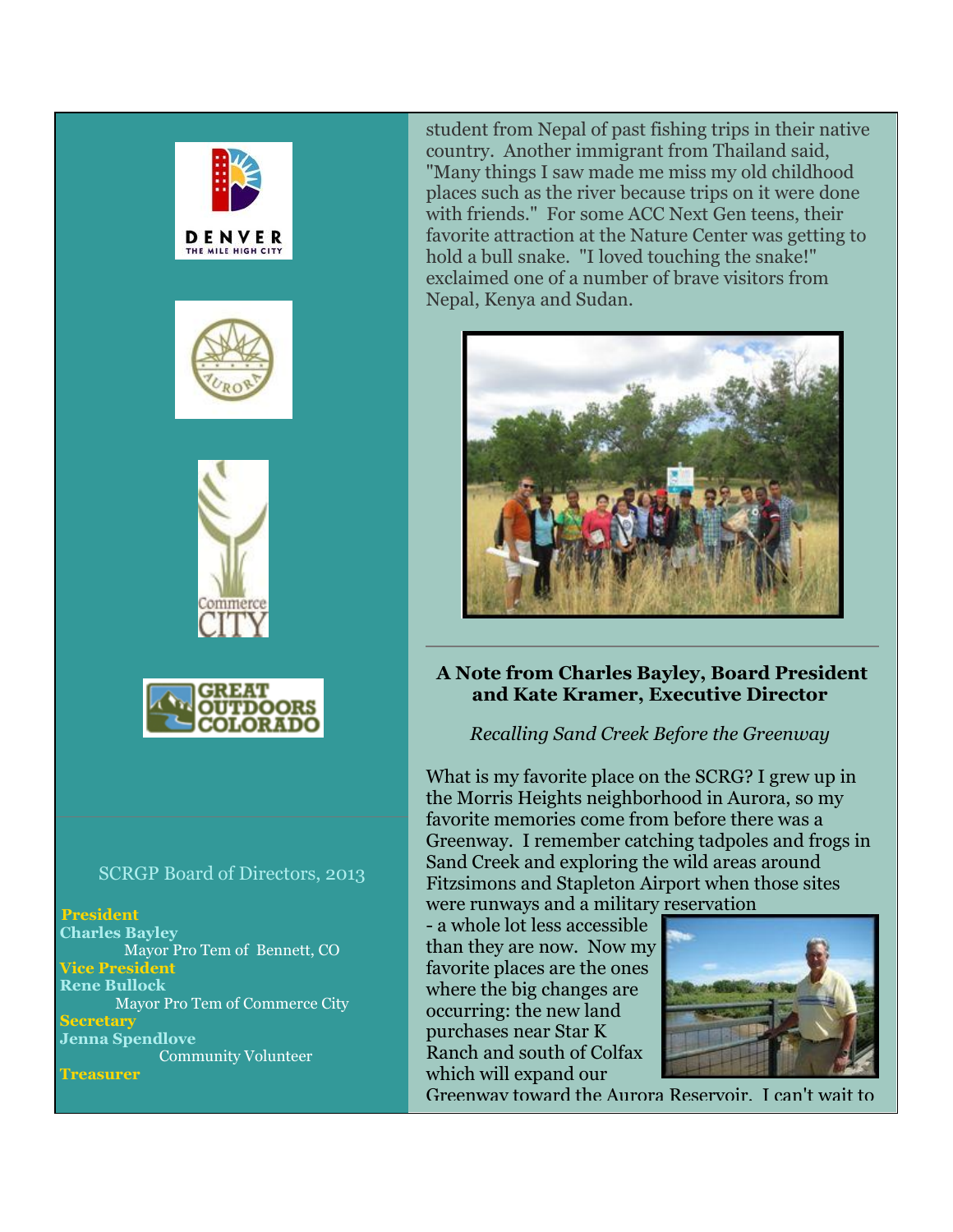







#### SCRGP Board of Directors, 2013

**President**

**Charles Bayley** Mayor Pro Tem of Bennett, CO **Vice President Rene Bullock** Mayor Pro Tem of Commerce City **Secretary Jenna Spendlove** Community Volunteer

**Treasurer**

student from Nepal of past fishing trips in their native country. Another immigrant from Thailand said, "Many things I saw made me miss my old childhood places such as the river because trips on it were done with friends." For some ACC Next Gen teens, their favorite attraction at the Nature Center was getting to hold a bull snake. "I loved touching the snake!" exclaimed one of a number of brave visitors from Nepal, Kenya and Sudan.



### **A Note from Charles Bayley, Board President and Kate Kramer, Executive Director**

### *Recalling Sand Creek Before the Greenway*

What is my favorite place on the SCRG? I grew up in the Morris Heights neighborhood in Aurora, so my favorite memories come from before there was a Greenway. I remember catching tadpoles and frogs in Sand Creek and exploring the wild areas around Fitzsimons and Stapleton Airport when those sites were runways and a military reservation

- a whole lot less accessible than they are now. Now my favorite places are the ones where the big changes are occurring: the new land purchases near Star K Ranch and south of Colfax which will expand our



Greenway toward the Aurora Reservoir. I can't wait to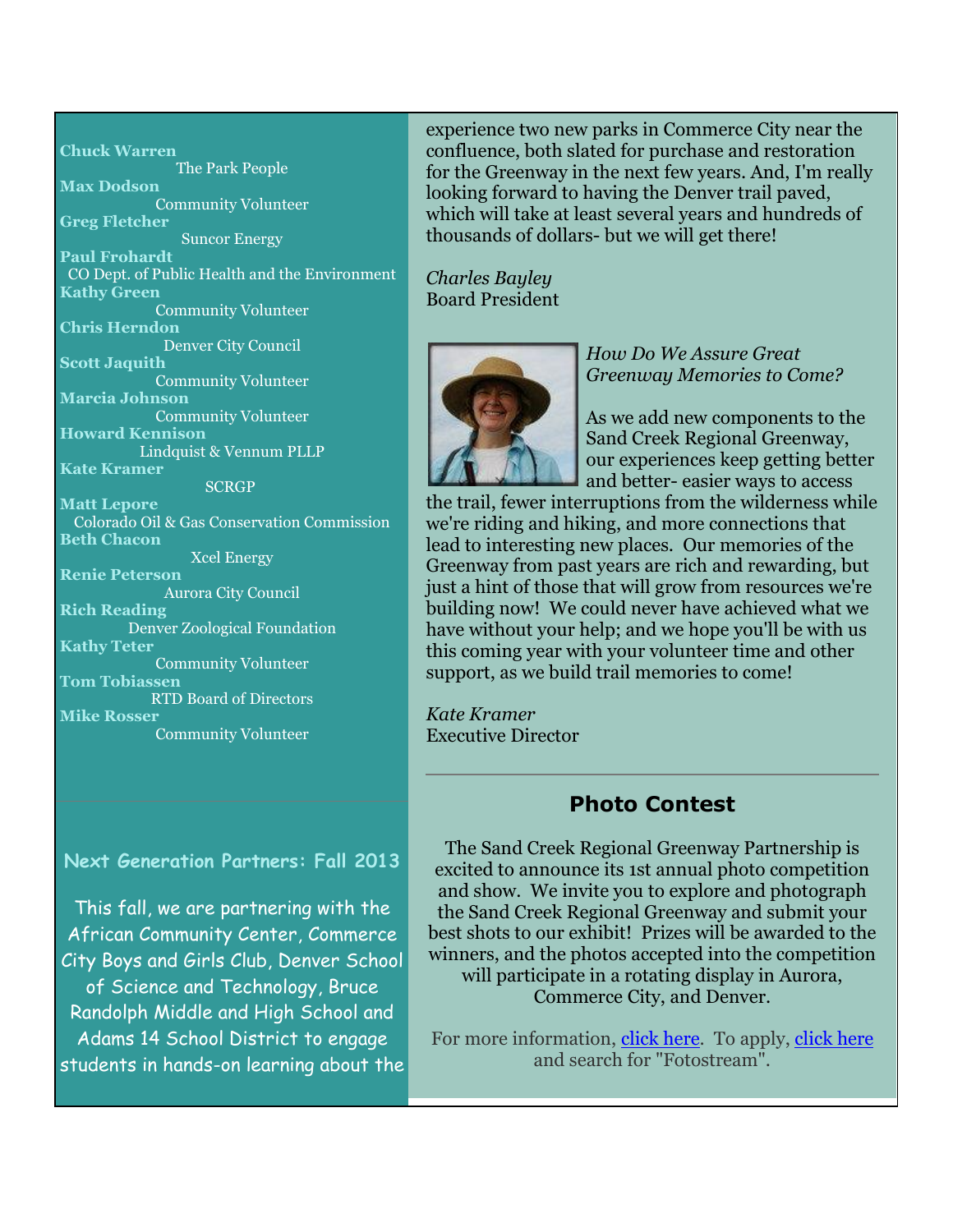**Chuck Warren** The Park People **Max Dodson** Community Volunteer **Greg Fletcher** Suncor Energy **Paul Frohardt** CO Dept. of Public Health and the Environment **Kathy Green** Community Volunteer **Chris Herndon** Denver City Council **Scott Jaquith** Community Volunteer **Marcia Johnson** Community Volunteer **Howard Kennison** Lindquist & Vennum PLLP **Kate Kramer SCRGP Matt Lepore** Colorado Oil & Gas Conservation Commission **Beth Chacon** Xcel Energy **Renie Peterson** Aurora City Council **Rich Reading** Denver Zoological Foundation **Kathy Teter** Community Volunteer **Tom Tobiassen** RTD Board of Directors **Mike Rosser** Community Volunteer

**Next Generation Partners: Fall 2013**

This fall, we are partnering with the African Community Center, Commerce City Boys and Girls Club, Denver School of Science and Technology, Bruce Randolph Middle and High School and Adams 14 School District to engage students in hands-on learning about the experience two new parks in Commerce City near the confluence, both slated for purchase and restoration for the Greenway in the next few years. And, I'm really looking forward to having the Denver trail paved, which will take at least several years and hundreds of thousands of dollars- but we will get there!

*Charles Bayley* Board President



*How Do We Assure Great Greenway Memories to Come?*

As we add new components to the Sand Creek Regional Greenway, our experiences keep getting better and better- easier ways to access

the trail, fewer interruptions from the wilderness while we're riding and hiking, and more connections that lead to interesting new places. Our memories of the Greenway from past years are rich and rewarding, but just a hint of those that will grow from resources we're building now! We could never have achieved what we have without your help; and we hope you'll be with us this coming year with your volunteer time and other support, as we build trail memories to come!

*Kate Kramer* Executive Director

# **Photo Contest**

The Sand Creek Regional Greenway Partnership is excited to announce its 1st annual photo competition and show. We invite you to explore and photograph the Sand Creek Regional Greenway and submit your best shots to our exhibit! Prizes will be awarded to the winners, and the photos accepted into the competition will participate in a rotating display in Aurora, Commerce City, and Denver.

For more information, [click here.](http://sandcreekgreenway.org/newsevents/photo-contest/) To apply, [click here](http://www.callforentry.org/) and search for "Fotostream".